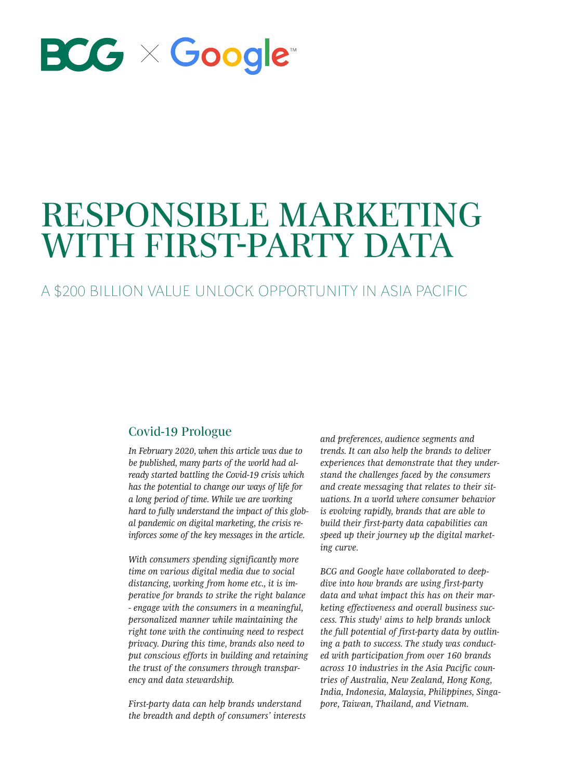

# RESPONSIBLE MARKETING WITH FIRST-PARTY DATA

A \$200 BILLION VALUE UNLOCK OPPORTUNITY IN ASIA PACIFIC

# Covid-19 Prologue

*In February 2020, when this article was due to be published, many parts of the world had already started battling the Covid-19 crisis which has the potential to change our ways of life for a long period of time. While we are working hard to fully understand the impact of this global pandemic on digital marketing, the crisis reinforces some of the key messages in the article.*

*With consumers spending significantly more time on various digital media due to social distancing, working from home etc., it is imperative for brands to strike the right balance - engage with the consumers in a meaningful, personalized manner while maintaining the right tone with the continuing need to respect privacy. During this time, brands also need to put conscious efforts in building and retaining the trust of the consumers through transparency and data stewardship.* 

*First-party data can help brands understand the breadth and depth of consumers' interests*  *and preferences, audience segments and trends. It can also help the brands to deliver experiences that demonstrate that they understand the challenges faced by the consumers and create messaging that relates to their situations. In a world where consumer behavior is evolving rapidly, brands that are able to build their first-party data capabilities can speed up their journey up the digital marketing curve.*

*BCG and Google have collaborated to deepdive into how brands are using first-party data and what impact this has on their marketing effectiveness and overall business success. This study1 aims to help brands unlock the full potential of first-party data by outlining a path to success. The study was conducted with participation from over 160 brands across 10 industries in the Asia Pacific countries of Australia, New Zealand, Hong Kong, India, Indonesia, Malaysia, Philippines, Singapore, Taiwan, Thailand, and Vietnam.*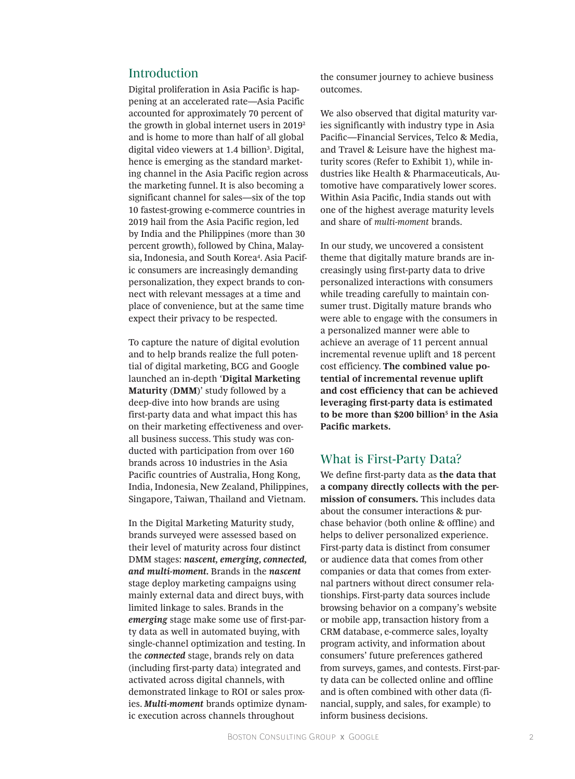# Introduction

Digital proliferation in Asia Pacific is happening at an accelerated rate—Asia Pacific accounted for approximately 70 percent of the growth in global internet users in  $2019<sup>2</sup>$ and is home to more than half of all global digital video viewers at 1.4 billion<sup>3</sup>. Digital, hence is emerging as the standard marketing channel in the Asia Pacific region across the marketing funnel. It is also becoming a significant channel for sales—six of the top 10 fastest-growing e-commerce countries in 2019 hail from the Asia Pacific region, led by India and the Philippines (more than 30 percent growth), followed by China, Malaysia, Indonesia, and South Korea<sup>4</sup>. Asia Pacific consumers are increasingly demanding personalization, they expect brands to connect with relevant messages at a time and place of convenience, but at the same time expect their privacy to be respected.

To capture the nature of digital evolution and to help brands realize the full potential of digital marketing, BCG and Google launched an in-depth '**Digital Marketing Maturity (DMM)**' study followed by a deep-dive into how brands are using first-party data and what impact this has on their marketing effectiveness and overall business success. This study was conducted with participation from over 160 brands across 10 industries in the Asia Pacific countries of Australia, Hong Kong, India, Indonesia, New Zealand, Philippines, Singapore, Taiwan, Thailand and Vietnam.

In the Digital Marketing Maturity study, brands surveyed were assessed based on their level of maturity across four distinct DMM stages: *nascent, emerging, connected, and multi-moment.* Brands in the *nascent* stage deploy marketing campaigns using mainly external data and direct buys, with limited linkage to sales. Brands in the *emerging* stage make some use of first-party data as well in automated buying, with single-channel optimization and testing. In the *connected* stage, brands rely on data (including first-party data) integrated and activated across digital channels, with demonstrated linkage to ROI or sales proxies. *Multi-moment* brands optimize dynamic execution across channels throughout

the consumer journey to achieve business outcomes.

We also observed that digital maturity varies significantly with industry type in Asia Pacific—Financial Services, Telco & Media, and Travel & Leisure have the highest maturity scores (Refer to Exhibit 1), while industries like Health & Pharmaceuticals, Automotive have comparatively lower scores. Within Asia Pacific, India stands out with one of the highest average maturity levels and share of *multi-moment* brands.

In our study, we uncovered a consistent theme that digitally mature brands are increasingly using first-party data to drive personalized interactions with consumers while treading carefully to maintain consumer trust. Digitally mature brands who were able to engage with the consumers in a personalized manner were able to achieve an average of 11 percent annual incremental revenue uplift and 18 percent cost efficiency. **The combined value potential of incremental revenue uplift and cost efficiency that can be achieved leveraging first-party data is estimated to be more than \$200 billion5 in the Asia Pacific markets.**

## What is First-Party Data?

We define first-party data as **the data that a company directly collects with the permission of consumers.** This includes data about the consumer interactions & purchase behavior (both online & offline) and helps to deliver personalized experience. First-party data is distinct from consumer or audience data that comes from other companies or data that comes from external partners without direct consumer relationships. First-party data sources include browsing behavior on a company's website or mobile app, transaction history from a CRM database, e-commerce sales, loyalty program activity, and information about consumers' future preferences gathered from surveys, games, and contests. First-party data can be collected online and offline and is often combined with other data (financial, supply, and sales, for example) to inform business decisions.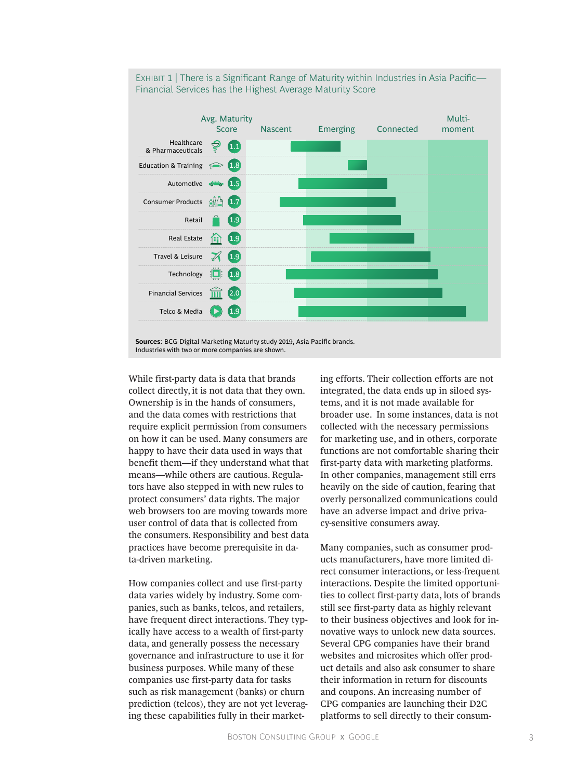

EXHIBIT 1 | There is a Significant Range of Maturity within Industries in Asia Pacific— Financial Services has the Highest Average Maturity Score

While first-party data is data that brands collect directly, it is not data that they own. Ownership is in the hands of consumers, and the data comes with restrictions that require explicit permission from consumers on how it can be used. Many consumers are happy to have their data used in ways that benefit them—if they understand what that means—while others are cautious. Regulators have also stepped in with new rules to protect consumers' data rights. The major web browsers too are moving towards more user control of data that is collected from the consumers. Responsibility and best data practices have become prerequisite in data-driven marketing.

How companies collect and use first-party data varies widely by industry. Some companies, such as banks, telcos, and retailers, have frequent direct interactions. They typically have access to a wealth of first-party data, and generally possess the necessary governance and infrastructure to use it for business purposes. While many of these companies use first-party data for tasks such as risk management (banks) or churn prediction (telcos), they are not yet leveraging these capabilities fully in their marketing efforts. Their collection efforts are not integrated, the data ends up in siloed systems, and it is not made available for broader use. In some instances, data is not collected with the necessary permissions for marketing use, and in others, corporate functions are not comfortable sharing their first-party data with marketing platforms. In other companies, management still errs heavily on the side of caution, fearing that overly personalized communications could have an adverse impact and drive privacy-sensitive consumers away.

Many companies, such as consumer products manufacturers, have more limited direct consumer interactions, or less-frequent interactions. Despite the limited opportunities to collect first-party data, lots of brands still see first-party data as highly relevant to their business objectives and look for innovative ways to unlock new data sources. Several CPG companies have their brand websites and microsites which offer product details and also ask consumer to share their information in return for discounts and coupons. An increasing number of CPG companies are launching their D2C platforms to sell directly to their consum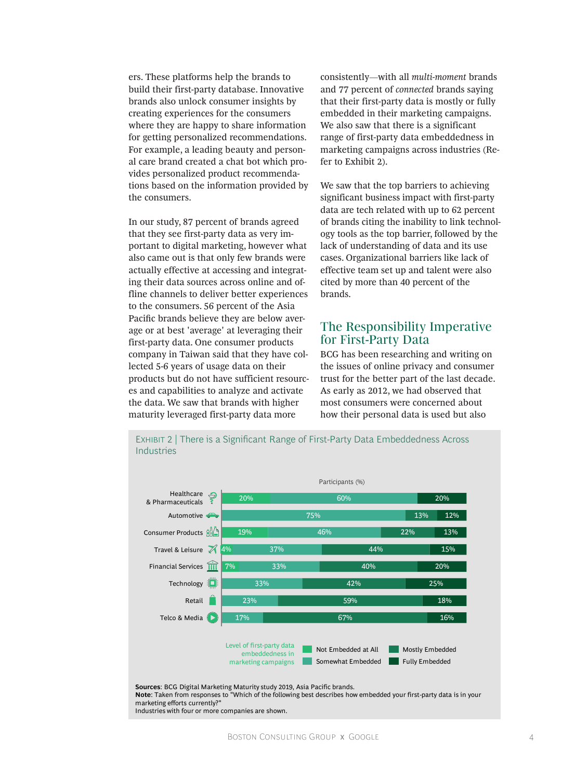ers. These platforms help the brands to build their first-party database. Innovative brands also unlock consumer insights by creating experiences for the consumers where they are happy to share information for getting personalized recommendations. For example, a leading beauty and personal care brand created a chat bot which provides personalized product recommendations based on the information provided by the consumers.

In our study, 87 percent of brands agreed that they see first-party data as very important to digital marketing, however what also came out is that only few brands were actually effective at accessing and integrating their data sources across online and offline channels to deliver better experiences to the consumers. 56 percent of the Asia Pacific brands believe they are below average or at best 'average' at leveraging their first-party data. One consumer products company in Taiwan said that they have collected 5-6 years of usage data on their products but do not have sufficient resources and capabilities to analyze and activate the data. We saw that brands with higher maturity leveraged first-party data more

consistently—with all *multi-moment* brands and 77 percent of *connected* brands saying that their first-party data is mostly or fully embedded in their marketing campaigns. We also saw that there is a significant range of first-party data embeddedness in marketing campaigns across industries (Refer to Exhibit 2).

We saw that the top barriers to achieving significant business impact with first-party data are tech related with up to 62 percent of brands citing the inability to link technology tools as the top barrier, followed by the lack of understanding of data and its use cases. Organizational barriers like lack of effective team set up and talent were also cited by more than 40 percent of the brands.

## The Responsibility Imperative for First-Party Data

BCG has been researching and writing on the issues of online privacy and consumer trust for the better part of the last decade. As early as 2012, we had observed that most consumers were concerned about how their personal data is used but also



EXHIBIT 2 | There is a Significant Range of First-Party Data Embeddedness Across Industries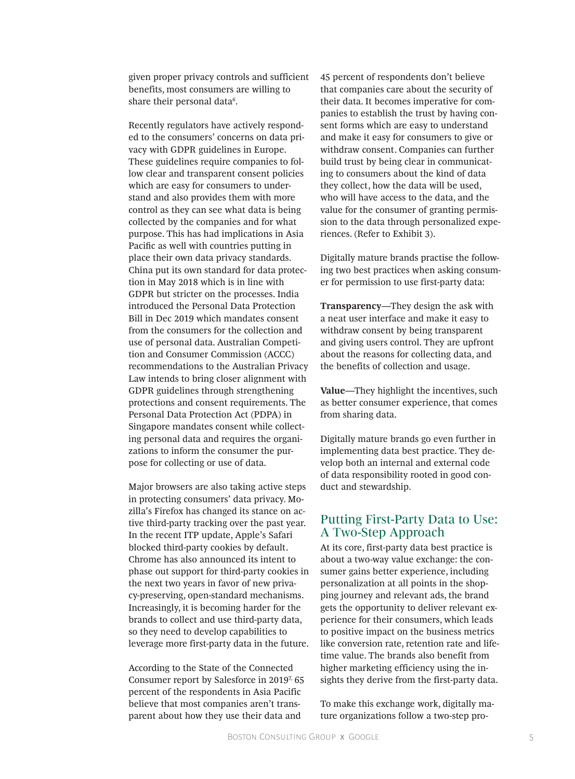given proper privacy controls and sufficient benefits, most consumers are willing to share their personal data<sup>6</sup>.

Recently regulators have actively responded to the consumers' concerns on data privacy with GDPR guidelines in Europe. These guidelines require companies to follow clear and transparent consent policies which are easy for consumers to understand and also provides them with more control as they can see what data is being collected by the companies and for what purpose. This has had implications in Asia Pacific as well with countries putting in place their own data privacy standards. China put its own standard for data protection in May 2018 which is in line with GDPR but stricter on the processes. India introduced the Personal Data Protection Bill in Dec 2019 which mandates consent from the consumers for the collection and use of personal data. Australian Competition and Consumer Commission (ACCC) recommendations to the Australian Privacy Law intends to bring closer alignment with GDPR guidelines through strengthening protections and consent requirements. The Personal Data Protection Act (PDPA) in Singapore mandates consent while collecting personal data and requires the organizations to inform the consumer the purpose for collecting or use of data.

Major browsers are also taking active steps in protecting consumers' data privacy. Mozilla's Firefox has changed its stance on active third-party tracking over the past year. In the recent ITP update, Apple's Safari blocked third-party cookies by default. Chrome has also announced its intent to phase out support for third-party cookies in the next two years in favor of new privacy-preserving, open-standard mechanisms. Increasingly, it is becoming harder for the brands to collect and use third-party data, so they need to develop capabilities to leverage more first-party data in the future.

According to the State of the Connected Consumer report by Salesforce in 2019<sup>7</sup>, 65 percent of the respondents in Asia Pacific believe that most companies aren't transparent about how they use their data and

45 percent of respondents don't believe that companies care about the security of their data. It becomes imperative for companies to establish the trust by having consent forms which are easy to understand and make it easy for consumers to give or withdraw consent. Companies can further build trust by being clear in communicating to consumers about the kind of data they collect, how the data will be used, who will have access to the data, and the value for the consumer of granting permission to the data through personalized experiences. (Refer to Exhibit 3).

Digitally mature brands practise the following two best practices when asking consumer for permission to use first-party data:

**Transparency**—They design the ask with a neat user interface and make it easy to withdraw consent by being transparent and giving users control. They are upfront about the reasons for collecting data, and the benefits of collection and usage.

**Value**—They highlight the incentives, such as better consumer experience, that comes from sharing data.

Digitally mature brands go even further in implementing data best practice. They develop both an internal and external code of data responsibility rooted in good conduct and stewardship.

## Putting First-Party Data to Use: A Two-Step Approach

At its core, first-party data best practice is about a two-way value exchange: the consumer gains better experience, including personalization at all points in the shopping journey and relevant ads, the brand gets the opportunity to deliver relevant experience for their consumers, which leads to positive impact on the business metrics like conversion rate, retention rate and lifetime value. The brands also benefit from higher marketing efficiency using the insights they derive from the first-party data.

To make this exchange work, digitally mature organizations follow a two-step pro-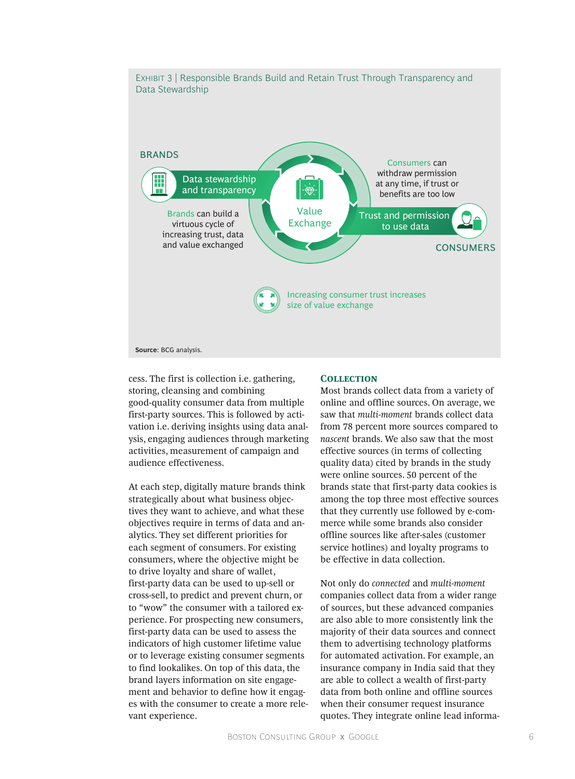

cess. The first is collection i.e. gathering, storing, cleansing and combining good-quality consumer data from multiple first-party sources. This is followed by activation i.e. deriving insights using data analysis, engaging audiences through marketing activities, measurement of campaign and audience effectiveness.

At each step, digitally mature brands think strategically about what business objectives they want to achieve, and what these objectives require in terms of data and analytics. They set different priorities for each segment of consumers. For existing consumers, where the objective might be to drive loyalty and share of wallet, first-party data can be used to up-sell or cross-sell, to predict and prevent churn, or to "wow" the consumer with a tailored experience. For prospecting new consumers, first-party data can be used to assess the indicators of high customer lifetime value or to leverage existing consumer segments to find lookalikes. On top of this data, the brand layers information on site engagement and behavior to define how it engages with the consumer to create a more relevant experience.

## **Collection**

Most brands collect data from a variety of online and offline sources. On average, we saw that *multi-moment* brands collect data from 78 percent more sources compared to *nascent* brands. We also saw that the most effective sources (in terms of collecting quality data) cited by brands in the study were online sources. 50 percent of the brands state that first-party data cookies is among the top three most effective sources that they currently use followed by e-commerce while some brands also consider offline sources like after-sales (customer service hotlines) and loyalty programs to be effective in data collection.

Not only do *connected* and *multi-moment* companies collect data from a wider range of sources, but these advanced companies are also able to more consistently link the majority of their data sources and connect them to advertising technology platforms for automated activation. For example, an insurance company in India said that they are able to collect a wealth of first-party data from both online and offline sources when their consumer request insurance quotes. They integrate online lead informa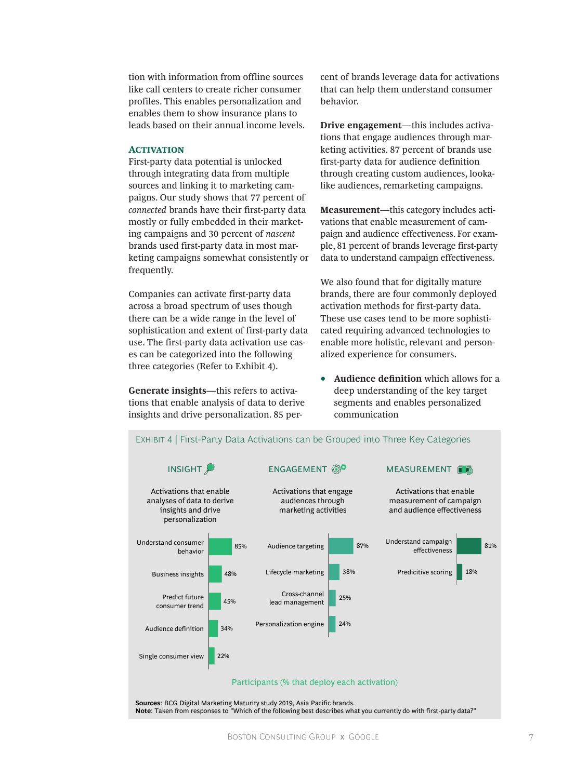tion with information from offline sources like call centers to create richer consumer profiles. This enables personalization and enables them to show insurance plans to leads based on their annual income levels.

## **ACTIVATION**

First-party data potential is unlocked through integrating data from multiple sources and linking it to marketing campaigns. Our study shows that 77 percent of *connected* brands have their first-party data mostly or fully embedded in their marketing campaigns and 30 percent of *nascent* brands used first-party data in most marketing campaigns somewhat consistently or frequently.

Companies can activate first-party data across a broad spectrum of uses though there can be a wide range in the level of sophistication and extent of first-party data use. The first-party data activation use cases can be categorized into the following three categories (Refer to Exhibit 4).

**Generate insights**—this refers to activations that enable analysis of data to derive insights and drive personalization. 85 percent of brands leverage data for activations that can help them understand consumer behavior.

**Drive engagement**—this includes activations that engage audiences through marketing activities. 87 percent of brands use first-party data for audience definition through creating custom audiences, lookalike audiences, remarketing campaigns.

**Measurement**—this category includes activations that enable measurement of campaign and audience effectiveness. For example, 81 percent of brands leverage first-party data to understand campaign effectiveness.

We also found that for digitally mature brands, there are four commonly deployed activation methods for first-party data. These use cases tend to be more sophisticated requiring advanced technologies to enable more holistic, relevant and personalized experience for consumers.

• **Audience definition** which allows for a deep understanding of the key target segments and enables personalized communication

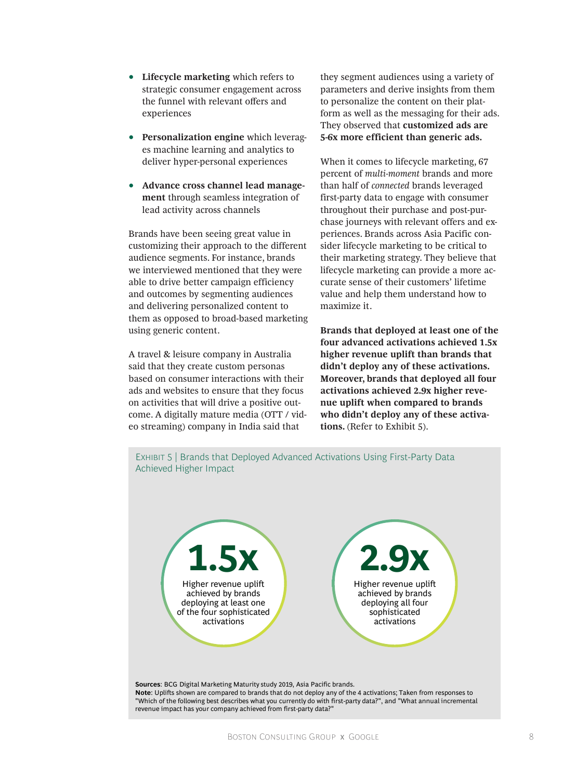- **Lifecycle marketing** which refers to strategic consumer engagement across the funnel with relevant offers and experiences
- **Personalization engine** which leverages machine learning and analytics to deliver hyper-personal experiences
- **Advance cross channel lead management** through seamless integration of lead activity across channels

Brands have been seeing great value in customizing their approach to the different audience segments. For instance, brands we interviewed mentioned that they were able to drive better campaign efficiency and outcomes by segmenting audiences and delivering personalized content to them as opposed to broad-based marketing using generic content.

A travel & leisure company in Australia said that they create custom personas based on consumer interactions with their ads and websites to ensure that they focus on activities that will drive a positive outcome. A digitally mature media (OTT / video streaming) company in India said that

they segment audiences using a variety of parameters and derive insights from them to personalize the content on their platform as well as the messaging for their ads. They observed that **customized ads are 5-6x more efficient than generic ads.**

When it comes to lifecycle marketing, 67 percent of *multi-moment* brands and more than half of *connected* brands leveraged first-party data to engage with consumer throughout their purchase and post-purchase journeys with relevant offers and experiences. Brands across Asia Pacific consider lifecycle marketing to be critical to their marketing strategy. They believe that lifecycle marketing can provide a more accurate sense of their customers' lifetime value and help them understand how to maximize it.

**Brands that deployed at least one of the four advanced activations achieved 1.5x higher revenue uplift than brands that didn't deploy any of these activations. Moreover, brands that deployed all four activations achieved 2.9x higher revenue uplift when compared to brands who didn't deploy any of these activations.** (Refer to Exhibit 5).

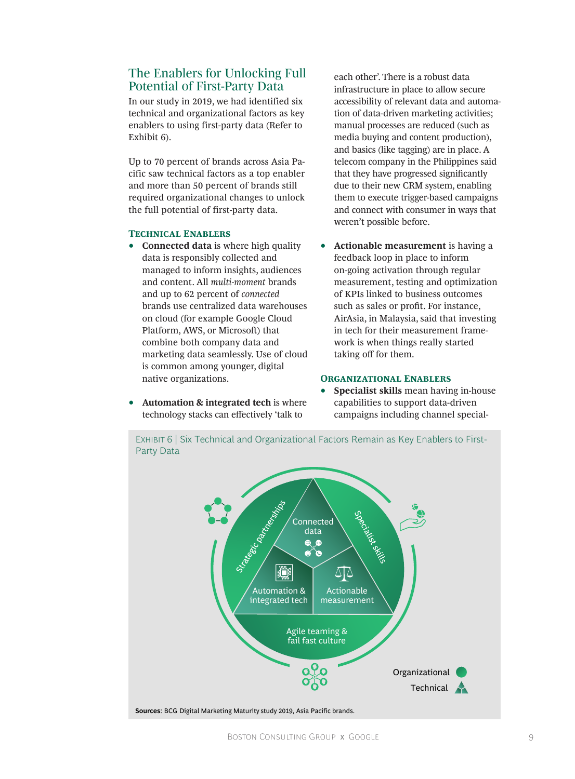# The Enablers for Unlocking Full Potential of First-Party Data

In our study in 2019, we had identified six technical and organizational factors as key enablers to using first-party data (Refer to Exhibit 6).

Up to 70 percent of brands across Asia Pacific saw technical factors as a top enabler and more than 50 percent of brands still required organizational changes to unlock the full potential of first-party data.

## **Technical Enablers**

- **Connected data** is where high quality data is responsibly collected and managed to inform insights, audiences and content. All *multi-moment* brands and up to 62 percent of *connected* brands use centralized data warehouses on cloud (for example Google Cloud Platform, AWS, or Microsoft) that combine both company data and marketing data seamlessly. Use of cloud is common among younger, digital native organizations.
- **Automation & integrated tech** is where technology stacks can effectively 'talk to

each other'. There is a robust data infrastructure in place to allow secure accessibility of relevant data and automation of data-driven marketing activities; manual processes are reduced (such as media buying and content production), and basics (like tagging) are in place. A telecom company in the Philippines said that they have progressed significantly due to their new CRM system, enabling them to execute trigger-based campaigns and connect with consumer in ways that weren't possible before.

• **Actionable measurement** is having a feedback loop in place to inform on-going activation through regular measurement, testing and optimization of KPIs linked to business outcomes such as sales or profit. For instance, AirAsia, in Malaysia, said that investing in tech for their measurement framework is when things really started taking off for them.

## **Organizational Enablers**

• **Specialist skills** mean having in-house capabilities to support data-driven campaigns including channel special-

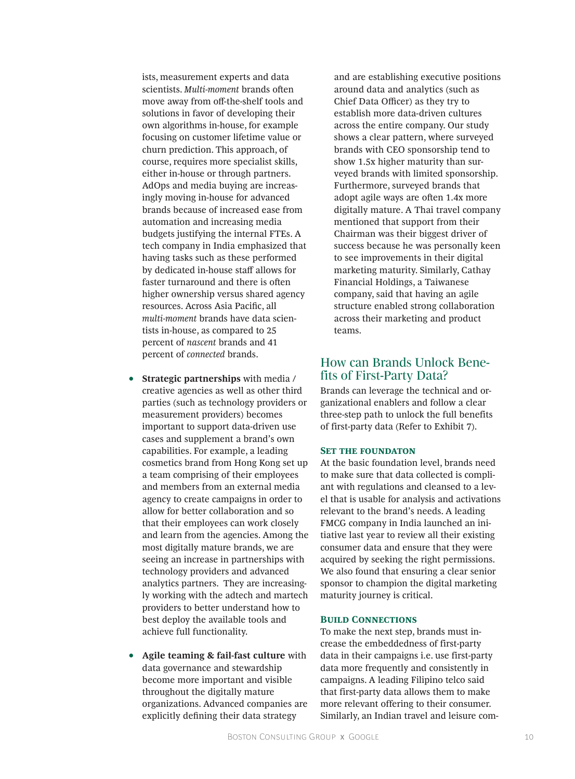ists, measurement experts and data scientists. *Multi-moment* brands often move away from off-the-shelf tools and solutions in favor of developing their own algorithms in-house, for example focusing on customer lifetime value or churn prediction. This approach, of course, requires more specialist skills, either in-house or through partners. AdOps and media buying are increasingly moving in-house for advanced brands because of increased ease from automation and increasing media budgets justifying the internal FTEs. A tech company in India emphasized that having tasks such as these performed by dedicated in-house staff allows for faster turnaround and there is often higher ownership versus shared agency resources. Across Asia Pacific, all *multi-moment* brands have data scientists in-house, as compared to 25 percent of *nascent* brands and 41 percent of *connected* brands.

- **Strategic partnerships** with media / creative agencies as well as other third parties (such as technology providers or measurement providers) becomes important to support data-driven use cases and supplement a brand's own capabilities. For example, a leading cosmetics brand from Hong Kong set up a team comprising of their employees and members from an external media agency to create campaigns in order to allow for better collaboration and so that their employees can work closely and learn from the agencies. Among the most digitally mature brands, we are seeing an increase in partnerships with technology providers and advanced analytics partners. They are increasingly working with the adtech and martech providers to better understand how to best deploy the available tools and achieve full functionality.
- **Agile teaming & fail-fast culture** with data governance and stewardship become more important and visible throughout the digitally mature organizations. Advanced companies are explicitly defining their data strategy

and are establishing executive positions around data and analytics (such as Chief Data Officer) as they try to establish more data-driven cultures across the entire company. Our study shows a clear pattern, where surveyed brands with CEO sponsorship tend to show 1.5x higher maturity than surveyed brands with limited sponsorship. Furthermore, surveyed brands that adopt agile ways are often 1.4x more digitally mature. A Thai travel company mentioned that support from their Chairman was their biggest driver of success because he was personally keen to see improvements in their digital marketing maturity. Similarly, Cathay Financial Holdings, a Taiwanese company, said that having an agile structure enabled strong collaboration across their marketing and product teams.

# How can Brands Unlock Benefits of First-Party Data?

Brands can leverage the technical and organizational enablers and follow a clear three-step path to unlock the full benefits of first-party data (Refer to Exhibit 7).

#### **SET THE FOUNDATON**

At the basic foundation level, brands need to make sure that data collected is compliant with regulations and cleansed to a level that is usable for analysis and activations relevant to the brand's needs. A leading FMCG company in India launched an initiative last year to review all their existing consumer data and ensure that they were acquired by seeking the right permissions. We also found that ensuring a clear senior sponsor to champion the digital marketing maturity journey is critical.

## **Build Connections**

To make the next step, brands must increase the embeddedness of first-party data in their campaigns i.e. use first-party data more frequently and consistently in campaigns. A leading Filipino telco said that first-party data allows them to make more relevant offering to their consumer. Similarly, an Indian travel and leisure com-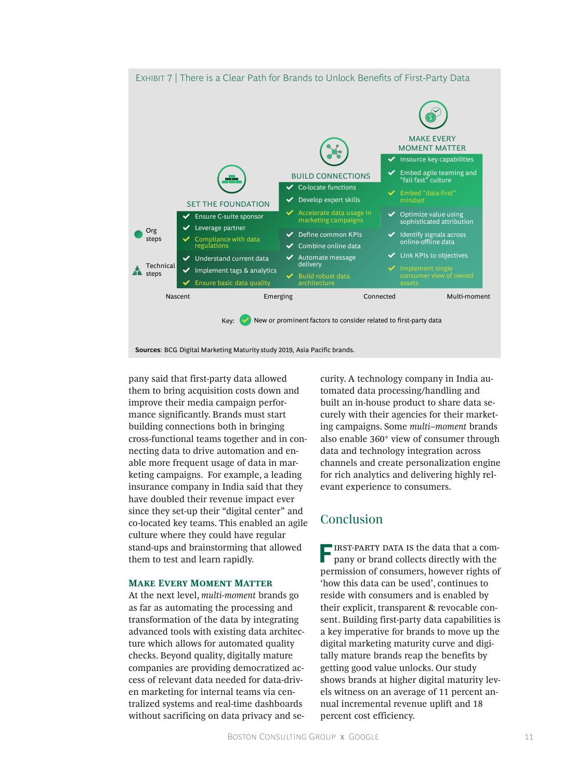

pany said that first-party data allowed them to bring acquisition costs down and improve their media campaign performance significantly. Brands must start building connections both in bringing cross-functional teams together and in connecting data to drive automation and enable more frequent usage of data in marketing campaigns. For example, a leading insurance company in India said that they have doubled their revenue impact ever since they set-up their "digital center" and co-located key teams. This enabled an agile culture where they could have regular stand-ups and brainstorming that allowed them to test and learn rapidly.

#### **Make Every Moment Matter**

At the next level, *multi-moment* brands go as far as automating the processing and transformation of the data by integrating advanced tools with existing data architecture which allows for automated quality checks. Beyond quality, digitally mature companies are providing democratized access of relevant data needed for data-driven marketing for internal teams via centralized systems and real-time dashboards without sacrificing on data privacy and security. A technology company in India automated data processing/handling and built an in-house product to share data securely with their agencies for their marketing campaigns. Some *multi–moment* brands also enable 360° view of consumer through data and technology integration across channels and create personalization engine for rich analytics and delivering highly relevant experience to consumers.

# Conclusion

**FIRST-PARTY DATA IS the data that a com**pany or brand collects directly with the permission of consumers, however rights of 'how this data can be used', continues to reside with consumers and is enabled by their explicit, transparent & revocable consent. Building first-party data capabilities is a key imperative for brands to move up the digital marketing maturity curve and digitally mature brands reap the benefits by getting good value unlocks. Our study shows brands at higher digital maturity levels witness on an average of 11 percent annual incremental revenue uplift and 18 percent cost efficiency.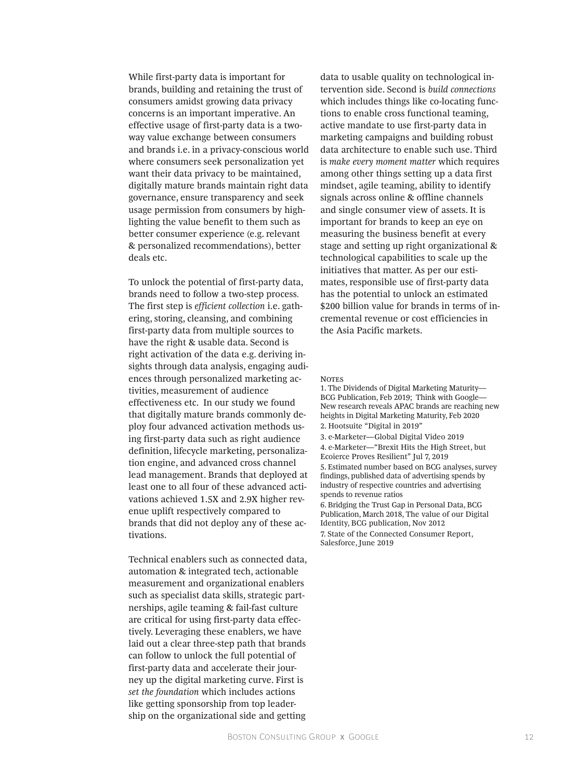While first-party data is important for brands, building and retaining the trust of consumers amidst growing data privacy concerns is an important imperative. An effective usage of first-party data is a twoway value exchange between consumers and brands i.e. in a privacy-conscious world where consumers seek personalization yet want their data privacy to be maintained, digitally mature brands maintain right data governance, ensure transparency and seek usage permission from consumers by highlighting the value benefit to them such as better consumer experience (e.g. relevant & personalized recommendations), better deals etc.

To unlock the potential of first-party data, brands need to follow a two-step process. The first step is *efficient collection* i.e. gathering, storing, cleansing, and combining first-party data from multiple sources to have the right & usable data. Second is right activation of the data e.g. deriving insights through data analysis, engaging audiences through personalized marketing activities, measurement of audience effectiveness etc. In our study we found that digitally mature brands commonly deploy four advanced activation methods using first-party data such as right audience definition, lifecycle marketing, personalization engine, and advanced cross channel lead management. Brands that deployed at least one to all four of these advanced activations achieved 1.5X and 2.9X higher revenue uplift respectively compared to brands that did not deploy any of these activations.

Technical enablers such as connected data, automation & integrated tech, actionable measurement and organizational enablers such as specialist data skills, strategic partnerships, agile teaming & fail-fast culture are critical for using first-party data effectively. Leveraging these enablers, we have laid out a clear three-step path that brands can follow to unlock the full potential of first-party data and accelerate their journey up the digital marketing curve. First is *set the foundation* which includes actions like getting sponsorship from top leadership on the organizational side and getting data to usable quality on technological intervention side. Second is *build connections*  which includes things like co-locating functions to enable cross functional teaming, active mandate to use first-party data in marketing campaigns and building robust data architecture to enable such use. Third is *make every moment matter* which requires among other things setting up a data first mindset, agile teaming, ability to identify signals across online & offline channels and single consumer view of assets. It is important for brands to keep an eye on measuring the business benefit at every stage and setting up right organizational & technological capabilities to scale up the initiatives that matter. As per our estimates, responsible use of first-party data has the potential to unlock an estimated \$200 billion value for brands in terms of incremental revenue or cost efficiencies in the Asia Pacific markets.

#### **NOTES**

Salesforce, June 2019

1. The Dividends of Digital Marketing Maturity— BCG Publication, Feb 2019; Think with Google— New research reveals APAC brands are reaching new heights in Digital Marketing Maturity, Feb 2020 2. Hootsuite "Digital in 2019" 3. e-Marketer—Global Digital Video 2019 4. e-Marketer—"Brexit Hits the High Street, but Ecoierce Proves Resilient" Jul 7, 2019 5. Estimated number based on BCG analyses, survey findings, published data of advertising spends by industry of respective countries and advertising spends to revenue ratios 6. Bridging the Trust Gap in Personal Data, BCG Publication, March 2018, The value of our Digital Identity, BCG publication, Nov 2012 7. State of the Connected Consumer Report,